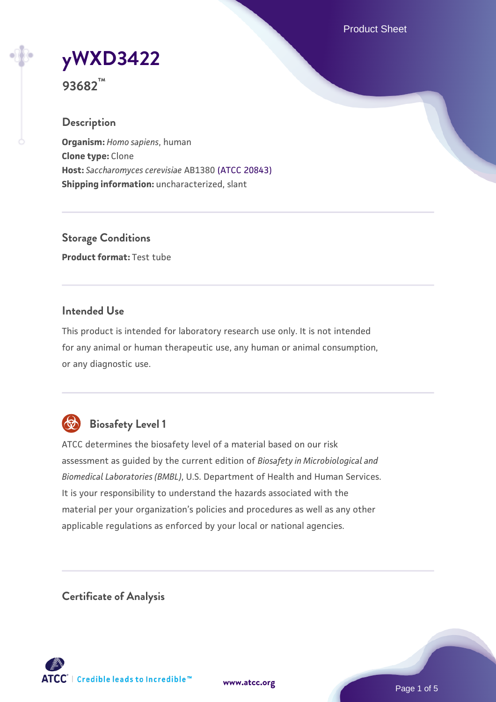Product Sheet

**[yWXD3422](https://www.atcc.org/products/93682)**

**93682™**

## **Description**

**Organism:** *Homo sapiens*, human **Clone type:** Clone **Host:** *Saccharomyces cerevisiae* AB1380 [\(ATCC 20843\)](https://www.atcc.org/products/20843) **Shipping information:** uncharacterized, slant

**Storage Conditions Product format:** Test tube

## **Intended Use**

This product is intended for laboratory research use only. It is not intended for any animal or human therapeutic use, any human or animal consumption, or any diagnostic use.



## **Biosafety Level 1**

ATCC determines the biosafety level of a material based on our risk assessment as guided by the current edition of *Biosafety in Microbiological and Biomedical Laboratories (BMBL)*, U.S. Department of Health and Human Services. It is your responsibility to understand the hazards associated with the material per your organization's policies and procedures as well as any other applicable regulations as enforced by your local or national agencies.

**Certificate of Analysis**

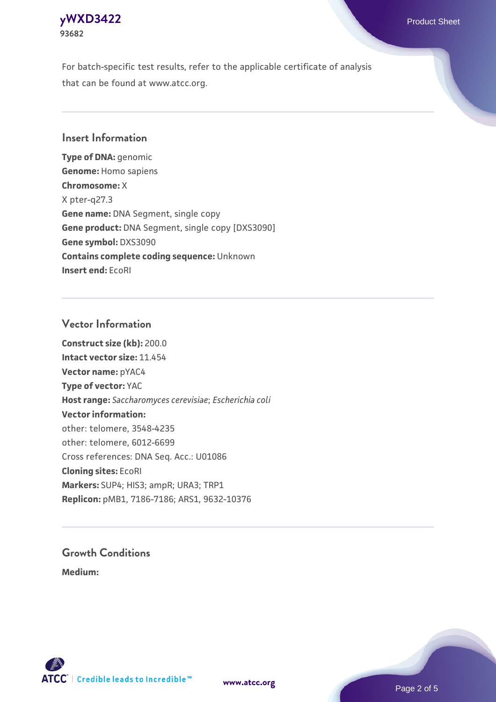## **[yWXD3422](https://www.atcc.org/products/93682)** Product Sheet **93682**

For batch-specific test results, refer to the applicable certificate of analysis that can be found at www.atcc.org.

## **Insert Information**

**Type of DNA:** genomic **Genome:** Homo sapiens **Chromosome:** X X pter-q27.3 **Gene name:** DNA Segment, single copy **Gene product:** DNA Segment, single copy [DXS3090] **Gene symbol:** DXS3090 **Contains complete coding sequence:** Unknown **Insert end:** EcoRI

## **Vector Information**

**Construct size (kb):** 200.0 **Intact vector size:** 11.454 **Vector name:** pYAC4 **Type of vector:** YAC **Host range:** *Saccharomyces cerevisiae*; *Escherichia coli* **Vector information:** other: telomere, 3548-4235 other: telomere, 6012-6699 Cross references: DNA Seq. Acc.: U01086 **Cloning sites:** EcoRI **Markers:** SUP4; HIS3; ampR; URA3; TRP1 **Replicon:** pMB1, 7186-7186; ARS1, 9632-10376

# **Growth Conditions**

**Medium:** 



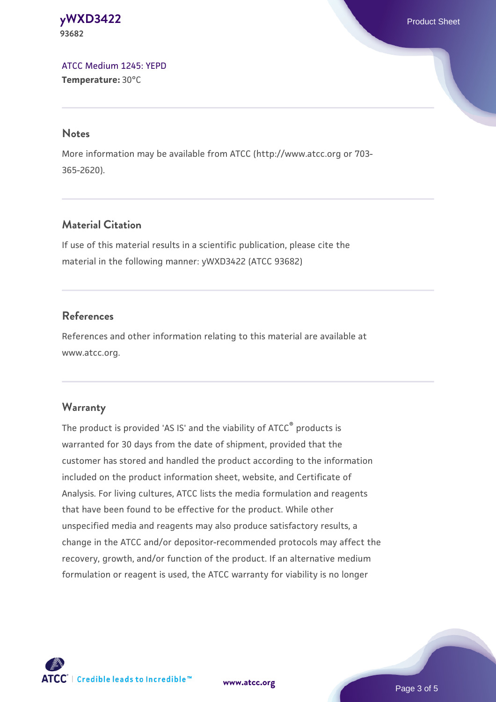#### **[yWXD3422](https://www.atcc.org/products/93682)** Product Sheet **93682**

[ATCC Medium 1245: YEPD](https://www.atcc.org/-/media/product-assets/documents/microbial-media-formulations/1/2/4/5/atcc-medium-1245.pdf?rev=705ca55d1b6f490a808a965d5c072196) **Temperature:** 30°C

#### **Notes**

More information may be available from ATCC (http://www.atcc.org or 703- 365-2620).

## **Material Citation**

If use of this material results in a scientific publication, please cite the material in the following manner: yWXD3422 (ATCC 93682)

## **References**

References and other information relating to this material are available at www.atcc.org.

## **Warranty**

The product is provided 'AS IS' and the viability of ATCC® products is warranted for 30 days from the date of shipment, provided that the customer has stored and handled the product according to the information included on the product information sheet, website, and Certificate of Analysis. For living cultures, ATCC lists the media formulation and reagents that have been found to be effective for the product. While other unspecified media and reagents may also produce satisfactory results, a change in the ATCC and/or depositor-recommended protocols may affect the recovery, growth, and/or function of the product. If an alternative medium formulation or reagent is used, the ATCC warranty for viability is no longer



**[www.atcc.org](http://www.atcc.org)**

Page 3 of 5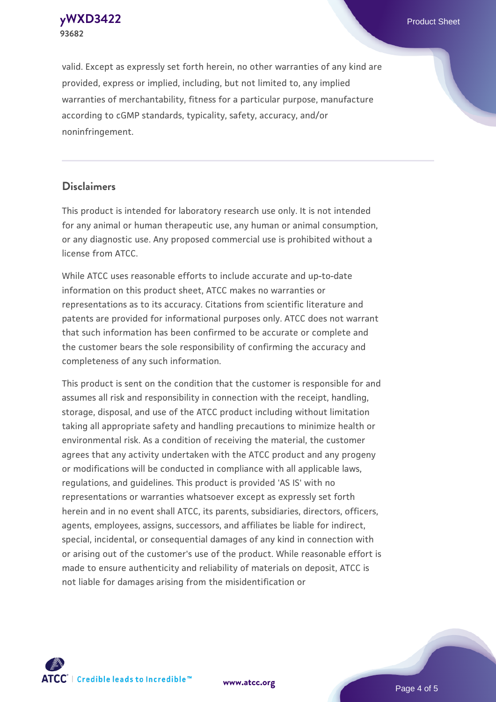**[yWXD3422](https://www.atcc.org/products/93682)** Product Sheet **93682**

valid. Except as expressly set forth herein, no other warranties of any kind are provided, express or implied, including, but not limited to, any implied warranties of merchantability, fitness for a particular purpose, manufacture according to cGMP standards, typicality, safety, accuracy, and/or noninfringement.

#### **Disclaimers**

This product is intended for laboratory research use only. It is not intended for any animal or human therapeutic use, any human or animal consumption, or any diagnostic use. Any proposed commercial use is prohibited without a license from ATCC.

While ATCC uses reasonable efforts to include accurate and up-to-date information on this product sheet, ATCC makes no warranties or representations as to its accuracy. Citations from scientific literature and patents are provided for informational purposes only. ATCC does not warrant that such information has been confirmed to be accurate or complete and the customer bears the sole responsibility of confirming the accuracy and completeness of any such information.

This product is sent on the condition that the customer is responsible for and assumes all risk and responsibility in connection with the receipt, handling, storage, disposal, and use of the ATCC product including without limitation taking all appropriate safety and handling precautions to minimize health or environmental risk. As a condition of receiving the material, the customer agrees that any activity undertaken with the ATCC product and any progeny or modifications will be conducted in compliance with all applicable laws, regulations, and guidelines. This product is provided 'AS IS' with no representations or warranties whatsoever except as expressly set forth herein and in no event shall ATCC, its parents, subsidiaries, directors, officers, agents, employees, assigns, successors, and affiliates be liable for indirect, special, incidental, or consequential damages of any kind in connection with or arising out of the customer's use of the product. While reasonable effort is made to ensure authenticity and reliability of materials on deposit, ATCC is not liable for damages arising from the misidentification or



**[www.atcc.org](http://www.atcc.org)**

Page 4 of 5